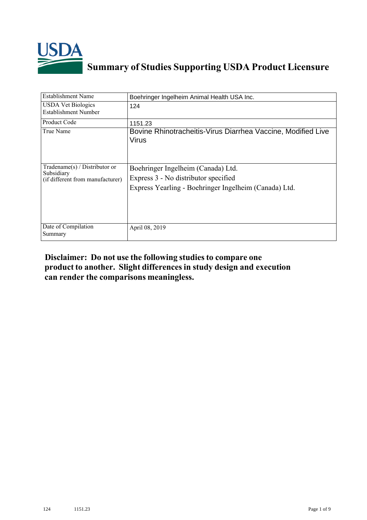

## **Summary of Studies Supporting USDA Product Licensure**

| Establishment Name                                                                 | Boehringer Ingelheim Animal Health USA Inc.                                                                                         |
|------------------------------------------------------------------------------------|-------------------------------------------------------------------------------------------------------------------------------------|
| <b>USDA Vet Biologics</b><br>Establishment Number                                  | 124                                                                                                                                 |
| Product Code                                                                       | 1151.23                                                                                                                             |
| True Name                                                                          | Bovine Rhinotracheitis-Virus Diarrhea Vaccine, Modified Live<br>Virus                                                               |
| Tradename $(s)$ / Distributor or<br>Subsidiary<br>(if different from manufacturer) | Boehringer Ingelheim (Canada) Ltd.<br>Express 3 - No distributor specified<br>Express Yearling - Boehringer Ingelheim (Canada) Ltd. |
| Date of Compilation<br>Summary                                                     | April 08, 2019                                                                                                                      |

## **Disclaimer: Do not use the following studiesto compare one product to another. Slight differencesin study design and execution can render the comparisons meaningless.**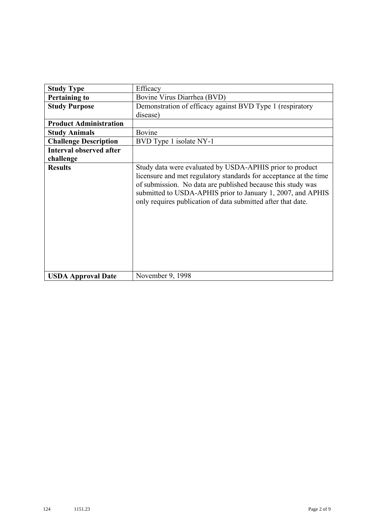| <b>Study Type</b>              | Efficacy                                                                                                                                                                                                                                                                                                                    |  |  |  |
|--------------------------------|-----------------------------------------------------------------------------------------------------------------------------------------------------------------------------------------------------------------------------------------------------------------------------------------------------------------------------|--|--|--|
| <b>Pertaining to</b>           | Bovine Virus Diarrhea (BVD)                                                                                                                                                                                                                                                                                                 |  |  |  |
| <b>Study Purpose</b>           | Demonstration of efficacy against BVD Type 1 (respiratory                                                                                                                                                                                                                                                                   |  |  |  |
|                                | disease)                                                                                                                                                                                                                                                                                                                    |  |  |  |
| <b>Product Administration</b>  |                                                                                                                                                                                                                                                                                                                             |  |  |  |
| <b>Study Animals</b>           | Bovine                                                                                                                                                                                                                                                                                                                      |  |  |  |
| <b>Challenge Description</b>   | BVD Type 1 isolate NY-1                                                                                                                                                                                                                                                                                                     |  |  |  |
| <b>Interval observed after</b> |                                                                                                                                                                                                                                                                                                                             |  |  |  |
| challenge                      |                                                                                                                                                                                                                                                                                                                             |  |  |  |
| <b>Results</b>                 | Study data were evaluated by USDA-APHIS prior to product<br>licensure and met regulatory standards for acceptance at the time<br>of submission. No data are published because this study was<br>submitted to USDA-APHIS prior to January 1, 2007, and APHIS<br>only requires publication of data submitted after that date. |  |  |  |
| <b>USDA Approval Date</b>      | November 9, 1998                                                                                                                                                                                                                                                                                                            |  |  |  |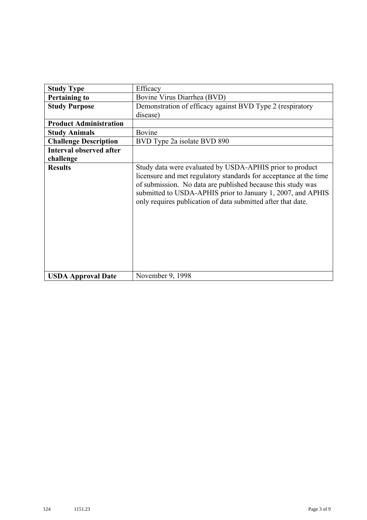| <b>Study Type</b>              | Efficacy                                                                                                                                                                                                                                                                                                                    |  |  |  |
|--------------------------------|-----------------------------------------------------------------------------------------------------------------------------------------------------------------------------------------------------------------------------------------------------------------------------------------------------------------------------|--|--|--|
| <b>Pertaining to</b>           | Bovine Virus Diarrhea (BVD)                                                                                                                                                                                                                                                                                                 |  |  |  |
| <b>Study Purpose</b>           | Demonstration of efficacy against BVD Type 2 (respiratory                                                                                                                                                                                                                                                                   |  |  |  |
|                                | disease)                                                                                                                                                                                                                                                                                                                    |  |  |  |
| <b>Product Administration</b>  |                                                                                                                                                                                                                                                                                                                             |  |  |  |
| <b>Study Animals</b>           | Bovine                                                                                                                                                                                                                                                                                                                      |  |  |  |
| <b>Challenge Description</b>   | BVD Type 2a isolate BVD 890                                                                                                                                                                                                                                                                                                 |  |  |  |
| <b>Interval observed after</b> |                                                                                                                                                                                                                                                                                                                             |  |  |  |
| challenge                      |                                                                                                                                                                                                                                                                                                                             |  |  |  |
| <b>Results</b>                 | Study data were evaluated by USDA-APHIS prior to product<br>licensure and met regulatory standards for acceptance at the time<br>of submission. No data are published because this study was<br>submitted to USDA-APHIS prior to January 1, 2007, and APHIS<br>only requires publication of data submitted after that date. |  |  |  |
| <b>USDA Approval Date</b>      | November 9, 1998                                                                                                                                                                                                                                                                                                            |  |  |  |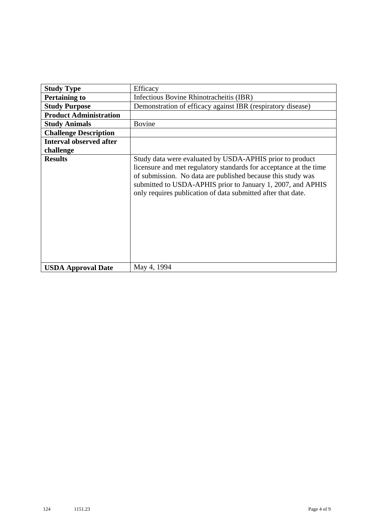| <b>Study Type</b>              | Efficacy                                                                                                                                                                                                                                                                                                                    |
|--------------------------------|-----------------------------------------------------------------------------------------------------------------------------------------------------------------------------------------------------------------------------------------------------------------------------------------------------------------------------|
| <b>Pertaining to</b>           | Infectious Bovine Rhinotracheitis (IBR)                                                                                                                                                                                                                                                                                     |
| <b>Study Purpose</b>           | Demonstration of efficacy against IBR (respiratory disease)                                                                                                                                                                                                                                                                 |
| <b>Product Administration</b>  |                                                                                                                                                                                                                                                                                                                             |
| <b>Study Animals</b>           | <b>Bovine</b>                                                                                                                                                                                                                                                                                                               |
| <b>Challenge Description</b>   |                                                                                                                                                                                                                                                                                                                             |
| <b>Interval observed after</b> |                                                                                                                                                                                                                                                                                                                             |
| challenge                      |                                                                                                                                                                                                                                                                                                                             |
| <b>Results</b>                 | Study data were evaluated by USDA-APHIS prior to product<br>licensure and met regulatory standards for acceptance at the time<br>of submission. No data are published because this study was<br>submitted to USDA-APHIS prior to January 1, 2007, and APHIS<br>only requires publication of data submitted after that date. |
| <b>USDA Approval Date</b>      | May 4, 1994                                                                                                                                                                                                                                                                                                                 |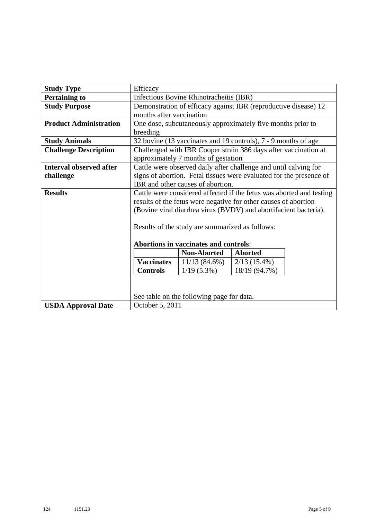| <b>Study Type</b>              | Efficacy                                                         |                                           |                                                                      |  |  |
|--------------------------------|------------------------------------------------------------------|-------------------------------------------|----------------------------------------------------------------------|--|--|
| <b>Pertaining to</b>           | Infectious Bovine Rhinotracheitis (IBR)                          |                                           |                                                                      |  |  |
| <b>Study Purpose</b>           | Demonstration of efficacy against IBR (reproductive disease) 12  |                                           |                                                                      |  |  |
|                                | months after vaccination                                         |                                           |                                                                      |  |  |
| <b>Product Administration</b>  |                                                                  |                                           | One dose, subcutaneously approximately five months prior to          |  |  |
|                                | breeding                                                         |                                           |                                                                      |  |  |
| <b>Study Animals</b>           |                                                                  |                                           | 32 bovine (13 vaccinates and 19 controls), 7 - 9 months of age       |  |  |
| <b>Challenge Description</b>   |                                                                  |                                           | Challenged with IBR Cooper strain 386 days after vaccination at      |  |  |
|                                |                                                                  | approximately 7 months of gestation       |                                                                      |  |  |
| <b>Interval observed after</b> |                                                                  |                                           | Cattle were observed daily after challenge and until calving for     |  |  |
| challenge                      |                                                                  |                                           | signs of abortion. Fetal tissues were evaluated for the presence of  |  |  |
|                                |                                                                  | IBR and other causes of abortion.         |                                                                      |  |  |
| <b>Results</b>                 |                                                                  |                                           | Cattle were considered affected if the fetus was aborted and testing |  |  |
|                                | results of the fetus were negative for other causes of abortion  |                                           |                                                                      |  |  |
|                                | (Bovine viral diarrhea virus (BVDV) and abortifacient bacteria). |                                           |                                                                      |  |  |
|                                |                                                                  |                                           |                                                                      |  |  |
|                                | Results of the study are summarized as follows:                  |                                           |                                                                      |  |  |
|                                |                                                                  |                                           |                                                                      |  |  |
|                                |                                                                  | Abortions in vaccinates and controls:     |                                                                      |  |  |
|                                |                                                                  | <b>Non-Aborted</b>                        | <b>Aborted</b>                                                       |  |  |
|                                | <b>Vaccinates</b>                                                | $11/13(84.6\%)$                           | $2/13(15.4\%)$                                                       |  |  |
|                                | <b>Controls</b>                                                  | $1/19(5.3\%)$                             | 18/19 (94.7%)                                                        |  |  |
|                                |                                                                  |                                           |                                                                      |  |  |
|                                |                                                                  |                                           |                                                                      |  |  |
|                                |                                                                  | See table on the following page for data. |                                                                      |  |  |
| <b>USDA Approval Date</b>      | October 5, 2011                                                  |                                           |                                                                      |  |  |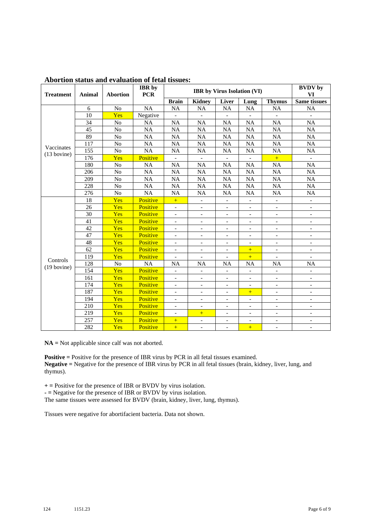| <b>Treatment</b> | Animal | <b>Abortion</b> | <b>IBR</b> by<br><b>PCR</b> | <b>IBR</b> by Virus Isolation (VI) |                              |                          |                          |                          | <b>BVDV</b> by<br>VI         |
|------------------|--------|-----------------|-----------------------------|------------------------------------|------------------------------|--------------------------|--------------------------|--------------------------|------------------------------|
|                  |        |                 |                             | <b>Brain</b>                       | <b>Kidney</b>                | Liver                    | Lung                     | <b>Thymus</b>            | Same tissues                 |
|                  | 6      | N <sub>o</sub>  | $\overline{NA}$             | <b>NA</b>                          | <b>NA</b>                    | <b>NA</b>                | NA                       | NA                       | <b>NA</b>                    |
|                  | 10     | Yes             | Negative                    |                                    | $\frac{1}{2}$                |                          |                          |                          |                              |
|                  | 34     | No              | <b>NA</b>                   | <b>NA</b>                          | <b>NA</b>                    | <b>NA</b>                | <b>NA</b>                | <b>NA</b>                | <b>NA</b>                    |
|                  | 45     | N <sub>o</sub>  | <b>NA</b>                   | <b>NA</b>                          | <b>NA</b>                    | <b>NA</b>                | <b>NA</b>                | <b>NA</b>                | <b>NA</b>                    |
|                  | 89     | No              | <b>NA</b>                   | <b>NA</b>                          | <b>NA</b>                    | <b>NA</b>                | <b>NA</b>                | NA                       | NA                           |
| Vaccinates       | 117    | N <sub>o</sub>  | <b>NA</b>                   | <b>NA</b>                          | <b>NA</b>                    | <b>NA</b>                | <b>NA</b>                | <b>NA</b>                | <b>NA</b>                    |
| $(13$ bovine)    | 155    | N <sub>o</sub>  | <b>NA</b>                   | <b>NA</b>                          | <b>NA</b>                    | <b>NA</b>                | <b>NA</b>                | NA                       | NA                           |
|                  | 176    | Yes             | Positive                    | $\blacksquare$                     | $\overline{a}$               | $\overline{\phantom{0}}$ | $\overline{\phantom{a}}$ | $+$                      | $\mathbf{r}$                 |
|                  | 180    | No              | NA                          | <b>NA</b>                          | <b>NA</b>                    | <b>NA</b>                | <b>NA</b>                | <b>NA</b>                | <b>NA</b>                    |
|                  | 206    | N <sub>o</sub>  | <b>NA</b>                   | <b>NA</b>                          | <b>NA</b>                    | <b>NA</b>                | <b>NA</b>                | <b>NA</b>                | <b>NA</b>                    |
|                  | 209    | No              | <b>NA</b>                   | <b>NA</b>                          | <b>NA</b>                    | <b>NA</b>                | <b>NA</b>                | <b>NA</b>                | NA                           |
|                  | 228    | N <sub>o</sub>  | <b>NA</b>                   | <b>NA</b>                          | <b>NA</b>                    | <b>NA</b>                | <b>NA</b>                | <b>NA</b>                | NA                           |
|                  | 276    | No              | <b>NA</b>                   | <b>NA</b>                          | NA                           | <b>NA</b>                | NA                       | <b>NA</b>                | NA                           |
|                  | 18     | Yes             | Positive                    | $\pm$                              | $\frac{1}{2}$                | $\frac{1}{2}$            | $\blacksquare$           | $\overline{\phantom{a}}$ | $\overline{\phantom{a}}$     |
|                  | 26     | Yes             | Positive                    | $\overline{\phantom{a}}$           | $\overline{\phantom{0}}$     | $\overline{\phantom{a}}$ | $\overline{\phantom{a}}$ | $\overline{\phantom{a}}$ | $\overline{\phantom{a}}$     |
|                  | 30     | Yes             | Positive                    | $\overline{a}$                     | $\overline{a}$               | $\overline{\phantom{a}}$ | $\overline{\phantom{a}}$ | $\overline{\phantom{a}}$ | $\blacksquare$               |
|                  | 41     | Yes             | Positive                    | $\overline{\phantom{a}}$           | $\qquad \qquad \blacksquare$ | $\overline{\phantom{a}}$ | $\overline{\phantom{a}}$ | $\overline{\phantom{a}}$ | $\overline{\phantom{a}}$     |
|                  | 42     | Yes             | Positive                    | $\blacksquare$                     | $\overline{\phantom{a}}$     | $\blacksquare$           | $\blacksquare$           | $\overline{\phantom{a}}$ | $\blacksquare$               |
|                  | 47     | Yes             | Positive                    | $\overline{\phantom{0}}$           | $\overline{\phantom{0}}$     | $\overline{\phantom{0}}$ | $\overline{\phantom{a}}$ | $\overline{\phantom{0}}$ | $\blacksquare$               |
|                  | 48     | Yes             | Positive                    | $\overline{a}$                     | $\blacksquare$               | $\overline{\phantom{a}}$ | $\overline{\phantom{a}}$ | $\qquad \qquad -$        | $\blacksquare$               |
|                  | 62     | Yes             | Positive                    | $\qquad \qquad -$                  | $\qquad \qquad -$            | $\overline{\phantom{0}}$ | $+$                      | $\overline{\phantom{m}}$ | $\qquad \qquad \blacksquare$ |
| Controls         | 119    | Yes             | Positive                    | $\blacksquare$                     | $\overline{\phantom{a}}$     | $\overline{\phantom{a}}$ | $+$                      | $\overline{\phantom{a}}$ | $\overline{\phantom{a}}$     |
| $(19$ bovine)    | 128    | N <sub>o</sub>  | <b>NA</b>                   | <b>NA</b>                          | <b>NA</b>                    | <b>NA</b>                | <b>NA</b>                | <b>NA</b>                | <b>NA</b>                    |
|                  | 154    | Yes             | Positive                    | $\overline{\phantom{0}}$           | $\overline{\phantom{a}}$     | $\overline{\phantom{a}}$ | $\overline{\phantom{a}}$ | $\overline{\phantom{m}}$ |                              |
|                  | 161    | Yes             | Positive                    | $\overline{\phantom{0}}$           | $\blacksquare$               | $\overline{\phantom{0}}$ | $\overline{\phantom{0}}$ | $\overline{\phantom{0}}$ |                              |
|                  | 174    | Yes             | Positive                    | $\overline{a}$                     | $\overline{\phantom{a}}$     | $\blacksquare$           | $\blacksquare$           | $\overline{\phantom{a}}$ | $\overline{\phantom{a}}$     |
|                  | 187    | Yes             | Positive                    | $\overline{\phantom{0}}$           | $\overline{\phantom{a}}$     | $\overline{\phantom{0}}$ | $+$                      | $\overline{\phantom{0}}$ | $\overline{\phantom{a}}$     |
|                  | 194    | Yes             | Positive                    | $\overline{\phantom{0}}$           | $\blacksquare$               | $\overline{\phantom{0}}$ | $\overline{\phantom{a}}$ | $\overline{\phantom{0}}$ | $\overline{a}$               |
|                  | 210    | Yes             | Positive                    | $\overline{\phantom{a}}$           | $\overline{\phantom{0}}$     | $\overline{\phantom{0}}$ | $\overline{\phantom{0}}$ | $\overline{\phantom{0}}$ | $\overline{\phantom{a}}$     |
|                  | 219    | Yes             | Positive                    | $\overline{\phantom{a}}$           | $+$                          | $\overline{\phantom{a}}$ | $\overline{\phantom{a}}$ | $\overline{\phantom{0}}$ | $\overline{\phantom{a}}$     |
|                  | 257    | Yes             | Positive                    | $+$                                | $\overline{\phantom{a}}$     | $\overline{\phantom{a}}$ | $\overline{\phantom{a}}$ | $\overline{\phantom{a}}$ | $\overline{\phantom{a}}$     |
|                  | 282    | Yes             | Positive                    | $+$                                | $\overline{a}$               | $\overline{\phantom{0}}$ | $+$                      | $\overline{\phantom{0}}$ | $\overline{\phantom{a}}$     |

## **Abortion status and evaluation of fetal tissues:**

**NA =** Not applicable since calf was not aborted.

**Positive =** Positive for the presence of IBR virus by PCR in all fetal tissues examined. **Negative =** Negative for the presence of IBR virus by PCR in all fetal tissues (brain, kidney, liver, lung, and thymus).

**+ =** Positive for the presence of IBR or BVDV by virus isolation.

**- =** Negative for the presence of IBR or BVDV by virus isolation.

The same tissues were assessed for BVDV (brain, kidney, liver, lung, thymus).

Tissues were negative for abortifacient bacteria. Data not shown.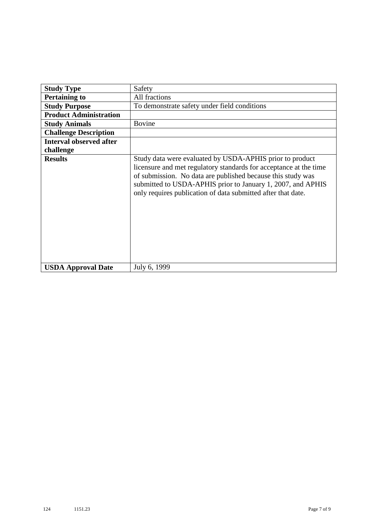| <b>Study Type</b>              | Safety                                                                                                                                                                                                                                                                                                                      |
|--------------------------------|-----------------------------------------------------------------------------------------------------------------------------------------------------------------------------------------------------------------------------------------------------------------------------------------------------------------------------|
| <b>Pertaining to</b>           | All fractions                                                                                                                                                                                                                                                                                                               |
| <b>Study Purpose</b>           | To demonstrate safety under field conditions                                                                                                                                                                                                                                                                                |
| <b>Product Administration</b>  |                                                                                                                                                                                                                                                                                                                             |
| <b>Study Animals</b>           | <b>Bovine</b>                                                                                                                                                                                                                                                                                                               |
| <b>Challenge Description</b>   |                                                                                                                                                                                                                                                                                                                             |
| <b>Interval observed after</b> |                                                                                                                                                                                                                                                                                                                             |
| challenge                      |                                                                                                                                                                                                                                                                                                                             |
| <b>Results</b>                 | Study data were evaluated by USDA-APHIS prior to product<br>licensure and met regulatory standards for acceptance at the time<br>of submission. No data are published because this study was<br>submitted to USDA-APHIS prior to January 1, 2007, and APHIS<br>only requires publication of data submitted after that date. |
| <b>USDA Approval Date</b>      | July 6, 1999                                                                                                                                                                                                                                                                                                                |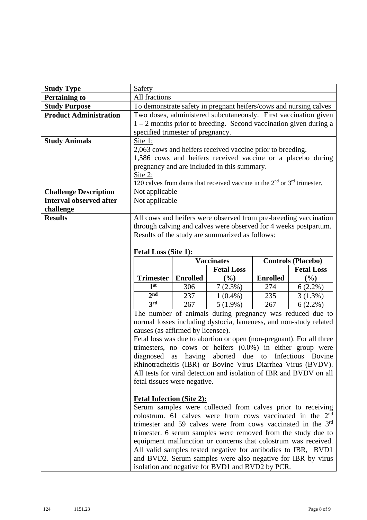| <b>Study Type</b>              | Safety                                                                                          |                 |                                                                                                                                      |                 |                           |
|--------------------------------|-------------------------------------------------------------------------------------------------|-----------------|--------------------------------------------------------------------------------------------------------------------------------------|-----------------|---------------------------|
| <b>Pertaining to</b>           | All fractions                                                                                   |                 |                                                                                                                                      |                 |                           |
| <b>Study Purpose</b>           | To demonstrate safety in pregnant heifers/cows and nursing calves                               |                 |                                                                                                                                      |                 |                           |
| <b>Product Administration</b>  | Two doses, administered subcutaneously. First vaccination given                                 |                 |                                                                                                                                      |                 |                           |
|                                | $1 - 2$ months prior to breeding. Second vaccination given during a                             |                 |                                                                                                                                      |                 |                           |
|                                | specified trimester of pregnancy.                                                               |                 |                                                                                                                                      |                 |                           |
| <b>Study Animals</b>           | Site 1:                                                                                         |                 |                                                                                                                                      |                 |                           |
|                                |                                                                                                 |                 | 2,063 cows and heifers received vaccine prior to breeding.                                                                           |                 |                           |
|                                |                                                                                                 |                 | 1,586 cows and heifers received vaccine or a placebo during                                                                          |                 |                           |
|                                |                                                                                                 |                 | pregnancy and are included in this summary.                                                                                          |                 |                           |
|                                | Site 2:                                                                                         |                 |                                                                                                                                      |                 |                           |
|                                |                                                                                                 |                 | 120 calves from dams that received vaccine in the $2nd$ or $3rd$ trimester.                                                          |                 |                           |
| <b>Challenge Description</b>   | Not applicable                                                                                  |                 |                                                                                                                                      |                 |                           |
| <b>Interval observed after</b> | Not applicable                                                                                  |                 |                                                                                                                                      |                 |                           |
| challenge                      |                                                                                                 |                 |                                                                                                                                      |                 |                           |
| <b>Results</b>                 |                                                                                                 |                 | All cows and heifers were observed from pre-breeding vaccination<br>through calving and calves were observed for 4 weeks postpartum. |                 |                           |
|                                |                                                                                                 |                 | Results of the study are summarized as follows:                                                                                      |                 |                           |
|                                |                                                                                                 |                 |                                                                                                                                      |                 |                           |
|                                | <b>Fetal Loss (Site 1):</b>                                                                     |                 |                                                                                                                                      |                 |                           |
|                                |                                                                                                 |                 | <b>Vaccinates</b>                                                                                                                    |                 | <b>Controls (Placebo)</b> |
|                                |                                                                                                 |                 | <b>Fetal Loss</b>                                                                                                                    |                 | <b>Fetal Loss</b>         |
|                                | <b>Trimester</b>                                                                                | <b>Enrolled</b> | (%)                                                                                                                                  | <b>Enrolled</b> | (%)                       |
|                                | 1 <sup>st</sup>                                                                                 | 306             | 7(2.3%)                                                                                                                              | 274             | $6(2.2\%)$                |
|                                | 2 <sub>nd</sub>                                                                                 | 237             | $1(0.4\%)$                                                                                                                           | 235             | 3(1.3%)                   |
|                                | 3rd                                                                                             | 267             | $5(1.9\%)$                                                                                                                           | 267             | $6(2.2\%)$                |
|                                | The number of animals during pregnancy was reduced due to                                       |                 |                                                                                                                                      |                 |                           |
|                                |                                                                                                 |                 | normal losses including dystocia, lameness, and non-study related                                                                    |                 |                           |
|                                | causes (as affirmed by licensee).                                                               |                 |                                                                                                                                      |                 |                           |
|                                |                                                                                                 |                 | Fetal loss was due to abortion or open (non-pregnant). For all three                                                                 |                 |                           |
|                                | trimesters, no cows or heifers $(0.0\%)$ in either group were                                   |                 |                                                                                                                                      |                 |                           |
|                                | diagnosed as having aborted due to Infectious Bovine                                            |                 |                                                                                                                                      |                 |                           |
|                                | Rhinotracheitis (IBR) or Bovine Virus Diarrhea Virus (BVDV).                                    |                 |                                                                                                                                      |                 |                           |
|                                | All tests for viral detection and isolation of IBR and BVDV on all                              |                 |                                                                                                                                      |                 |                           |
|                                | fetal tissues were negative.                                                                    |                 |                                                                                                                                      |                 |                           |
|                                |                                                                                                 |                 |                                                                                                                                      |                 |                           |
|                                | <b>Fetal Infection (Site 2):</b><br>Serum samples were collected from calves prior to receiving |                 |                                                                                                                                      |                 |                           |
|                                | colostrum. 61 calves were from cows vaccinated in the $2nd$                                     |                 |                                                                                                                                      |                 |                           |
|                                | trimester and 59 calves were from cows vaccinated in the 3 <sup>rd</sup>                        |                 |                                                                                                                                      |                 |                           |
|                                | trimester. 6 serum samples were removed from the study due to                                   |                 |                                                                                                                                      |                 |                           |
|                                |                                                                                                 |                 |                                                                                                                                      |                 |                           |
|                                |                                                                                                 |                 |                                                                                                                                      |                 |                           |
|                                |                                                                                                 |                 | equipment malfunction or concerns that colostrum was received.                                                                       |                 |                           |
|                                |                                                                                                 |                 | All valid samples tested negative for antibodies to IBR, BVD1<br>and BVD2. Serum samples were also negative for IBR by virus         |                 |                           |